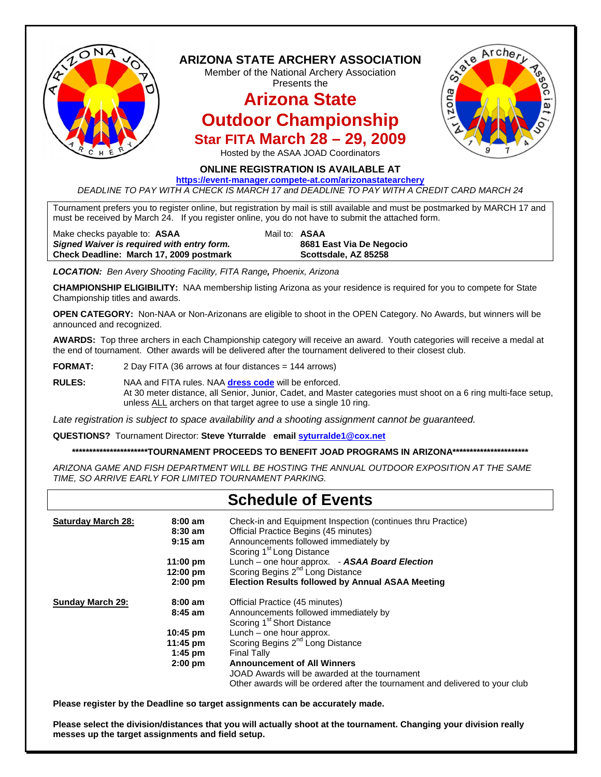

*DEADLINE TO PAY WITH A CHECK IS MARCH 17 and DEADLINE TO PAY WITH A CREDIT CARD MARCH 24* 

Tournament prefers you to register online, but registration by mail is still available and must be postmarked by MARCH 17 and must be received by March 24. If you register online, you do not have to submit the attached form.

Make checks payable to: **ASAA** Mail to: **ASAA** *Signed Waiver is required with entry form.* **8681 East Via De Negocio** Check Deadline: March 17, 2009 postmark **Scottsdale, AZ 85258** 

*LOCATION: Ben Avery Shooting Facility, FITA Range, Phoenix, Arizona*

**CHAMPIONSHIP ELIGIBILITY:** NAA membership listing Arizona as your residence is required for you to compete for State Championship titles and awards.

**OPEN CATEGORY:** Non-NAA or Non-Arizonans are eligible to shoot in the OPEN Category. No Awards, but winners will be announced and recognized.

**AWARDS:** Top three archers in each Championship category will receive an award. Youth categories will receive a medal at the end of tournament. Other awards will be delivered after the tournament delivered to their closest club.

**FORMAT:** 2 Day FITA (36 arrows at four distances = 144 arrows)

**RULES:** NAA and FITA rules. NAA **[dress code](http://usarchery.myicontrol.com/html/DressCode.html)** will be enforced. At 30 meter distance, all Senior, Junior, Cadet, and Master categories must shoot on a 6 ring multi-face setup, unless ALL archers on that target agree to use a single 10 ring.

*Late registration is subject to space availability and a shooting assignment cannot be guaranteed.* 

**QUESTIONS?** Tournament Director: **Steve Yturralde email [syturralde1@cox.net](mailto:syturralde1@cox.net)**

**\*\*\*\*\*\*\*\*\*\*\*\*\*\*\*\*\*\*\*\*\*\*TOURNAMENT PROCEEDS TO BENEFIT JOAD PROGRAMS IN ARIZONA\*\*\*\*\*\*\*\*\*\*\*\*\*\*\*\*\*\*\*\*\*\*** 

*ARIZONA GAME AND FISH DEPARTMENT WILL BE HOSTING THE ANNUAL OUTDOOR EXPOSITION AT THE SAME TIME, SO ARRIVE EARLY FOR LIMITED TOURNAMENT PARKING.* 

## **Schedule of Events**

| <b>Saturday March 28:</b><br>$8:00 \text{ am}$<br>$8:30$ am<br>$9:15$ am |                    | Check-in and Equipment Inspection (continues thru Practice)<br>Official Practice Begins (45 minutes)<br>Announcements followed immediately by<br>Scoring 1 <sup>st</sup> Long Distance |  |
|--------------------------------------------------------------------------|--------------------|----------------------------------------------------------------------------------------------------------------------------------------------------------------------------------------|--|
|                                                                          | $11:00 \text{ pm}$ | Lunch – one hour approx. - ASAA Board Election                                                                                                                                         |  |
|                                                                          | $12:00 \text{ pm}$ | Scoring Begins 2 <sup>nd</sup> Long Distance                                                                                                                                           |  |
|                                                                          | $2:00$ pm          | <b>Election Results followed by Annual ASAA Meeting</b>                                                                                                                                |  |
| <b>Sunday March 29:</b>                                                  | $8:00 \text{ am}$  | Official Practice (45 minutes)                                                                                                                                                         |  |
|                                                                          | $8:45$ am          | Announcements followed immediately by                                                                                                                                                  |  |
|                                                                          |                    | Scoring 1 <sup>st</sup> Short Distance                                                                                                                                                 |  |
|                                                                          | $10:45 \text{ pm}$ | Lunch – one hour approx.                                                                                                                                                               |  |
|                                                                          | $11:45 \text{ pm}$ | Scoring Begins 2 <sup>nd</sup> Long Distance                                                                                                                                           |  |
|                                                                          | $1:45$ pm          | <b>Final Tally</b>                                                                                                                                                                     |  |
|                                                                          | $2:00$ pm          | <b>Announcement of All Winners</b>                                                                                                                                                     |  |
|                                                                          |                    | JOAD Awards will be awarded at the tournament                                                                                                                                          |  |
|                                                                          |                    | Other awards will be ordered after the tournament and delivered to your club                                                                                                           |  |

**Please register by the Deadline so target assignments can be accurately made.** 

**Please select the division/distances that you will actually shoot at the tournament. Changing your division really messes up the target assignments and field setup.**